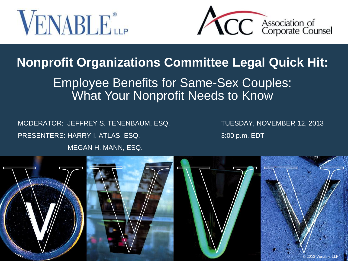



### **Nonprofit Organizations Committee Legal Quick Hit:**

### Employee Benefits for Same-Sex Couples: What Your Nonprofit Needs to Know

MODERATOR: JEFFREY S. TENENBAUM, ESQ. TUESDAY, NOVEMBER 12, 2013 PRESENTERS: HARRY I. ATLAS, ESQ. 3:00 p.m. EDT MEGAN H. MANN, ESQ.

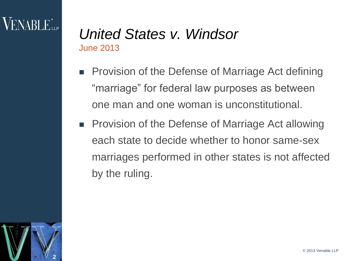# VENABLE"

### *United States v. Windsor*  June 2013

- Provision of the Defense of Marriage Act defining "marriage" for federal law purposes as between one man and one woman is unconstitutional.
- **Provision of the Defense of Marriage Act allowing** each state to decide whether to honor same-sex marriages performed in other states is not affected by the ruling.

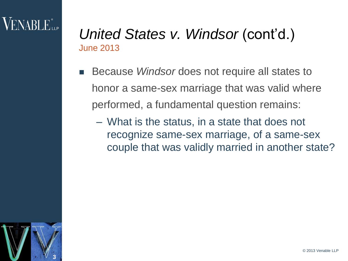## $\sf VENABI$   $E_{\sf ue}^*$

### *United States v. Windsor (cont'd.)* June 2013

- Because *Windsor* does not require all states to honor a same-sex marriage that was valid where performed, a fundamental question remains:
	- What is the status, in a state that does not recognize same-sex marriage, of a same-sex couple that was validly married in another state?

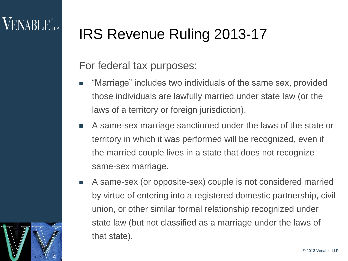# IRS Revenue Ruling 2013-17

### For federal tax purposes:

- "Marriage" includes two individuals of the same sex, provided those individuals are lawfully married under state law (or the laws of a territory or foreign jurisdiction).
- A same-sex marriage sanctioned under the laws of the state or territory in which it was performed will be recognized, even if the married couple lives in a state that does not recognize same-sex marriage.
- A same-sex (or opposite-sex) couple is not considered married by virtue of entering into a registered domestic partnership, civil union, or other similar formal relationship recognized under state law (but not classified as a marriage under the laws of that state).

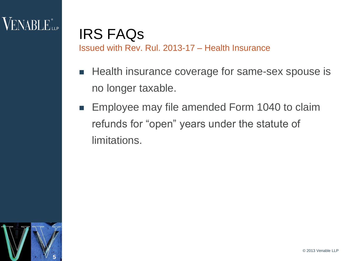

### IRS FAQs Issued with Rev. Rul. 2013-17 – Health Insurance

- Health insurance coverage for same-sex spouse is no longer taxable.
- **Employee may file amended Form 1040 to claim** refunds for "open" years under the statute of limitations.

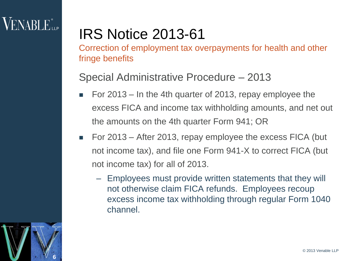## **VENABLE**<sup>®</sup>LLP

## IRS Notice 2013-61

Correction of employment tax overpayments for health and other fringe benefits

#### Special Administrative Procedure – 2013

- For 2013 In the 4th quarter of 2013, repay employee the excess FICA and income tax withholding amounts, and net out the amounts on the 4th quarter Form 941; OR
- For 2013 After 2013, repay employee the excess FICA (but not income tax), and file one Form 941-X to correct FICA (but not income tax) for all of 2013.
	- Employees must provide written statements that they will not otherwise claim FICA refunds. Employees recoup excess income tax withholding through regular Form 1040 channel.

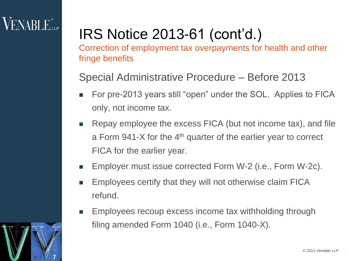## $\sf{VENABLE}^*_{\sf{LP}}$

**7**

# IRS Notice 2013-61 (cont'd.)

Correction of employment tax overpayments for health and other fringe benefits

Special Administrative Procedure – Before 2013

- For pre-2013 years still "open" under the SOL. Applies to FICA only, not income tax.
- **EXECT** Repay employee the excess FICA (but not income tax), and file a Form 941-X for the 4th quarter of the earlier year to correct FICA for the earlier year.
- Employer must issue corrected Form W-2 (i.e., Form W-2c).
- **Employees certify that they will not otherwise claim FICA** refund.
- Employees recoup excess income tax withholding through filing amended Form 1040 (i.e., Form 1040-X).

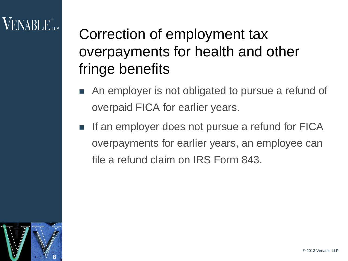## VENABLE".

Correction of employment tax overpayments for health and other fringe benefits

- An employer is not obligated to pursue a refund of overpaid FICA for earlier years.
- $\blacksquare$  If an employer does not pursue a refund for FICA overpayments for earlier years, an employee can file a refund claim on IRS Form 843.

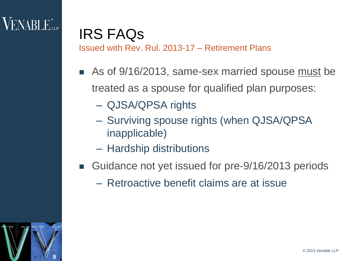

### IRS FAQs Issued with Rev. Rul. 2013-17 – Retirement Plans

- As of 9/16/2013, same-sex married spouse must be treated as a spouse for qualified plan purposes:
	- QJSA/QPSA rights
	- Surviving spouse rights (when QJSA/QPSA inapplicable)
	- Hardship distributions
- Guidance not yet issued for pre-9/16/2013 periods
	- Retroactive benefit claims are at issue

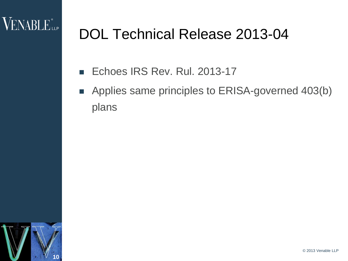

## DOL Technical Release 2013-04

- Echoes IRS Rev. Rul. 2013-17
- Applies same principles to ERISA-governed 403(b) plans

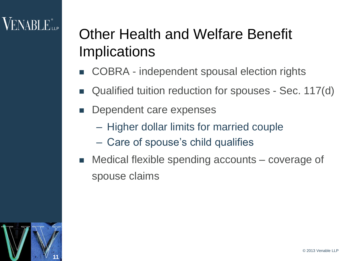## VENABLE"...

# Other Health and Welfare Benefit Implications

- COBRA independent spousal election rights
- Qualified tuition reduction for spouses Sec. 117(d)
- Dependent care expenses
	- Higher dollar limits for married couple
	- Care of spouse's child qualifies
- Medical flexible spending accounts coverage of spouse claims

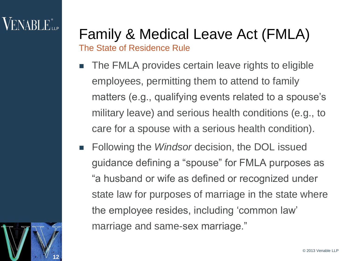## **VENABLE**

**12**

## Family & Medical Leave Act (FMLA) The State of Residence Rule

- The FMLA provides certain leave rights to eligible employees, permitting them to attend to family matters (e.g., qualifying events related to a spouse's military leave) and serious health conditions (e.g., to care for a spouse with a serious health condition).
- **Following the** *Windsor* decision, the DOL issued guidance defining a "spouse" for FMLA purposes as "a husband or wife as defined or recognized under state law for purposes of marriage in the state where the employee resides, including 'common law' marriage and same-sex marriage."

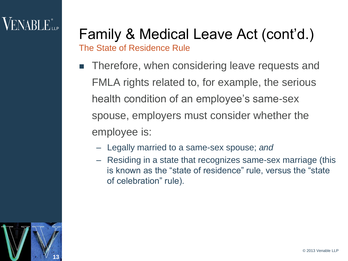## **VENABLE**

## Family & Medical Leave Act (cont'd.) The State of Residence Rule

- Therefore, when considering leave requests and FMLA rights related to, for example, the serious health condition of an employee's same-sex spouse, employers must consider whether the employee is:
	- Legally married to a same-sex spouse; *and*
	- Residing in a state that recognizes same-sex marriage (this is known as the "state of residence" rule, versus the "state of celebration" rule).